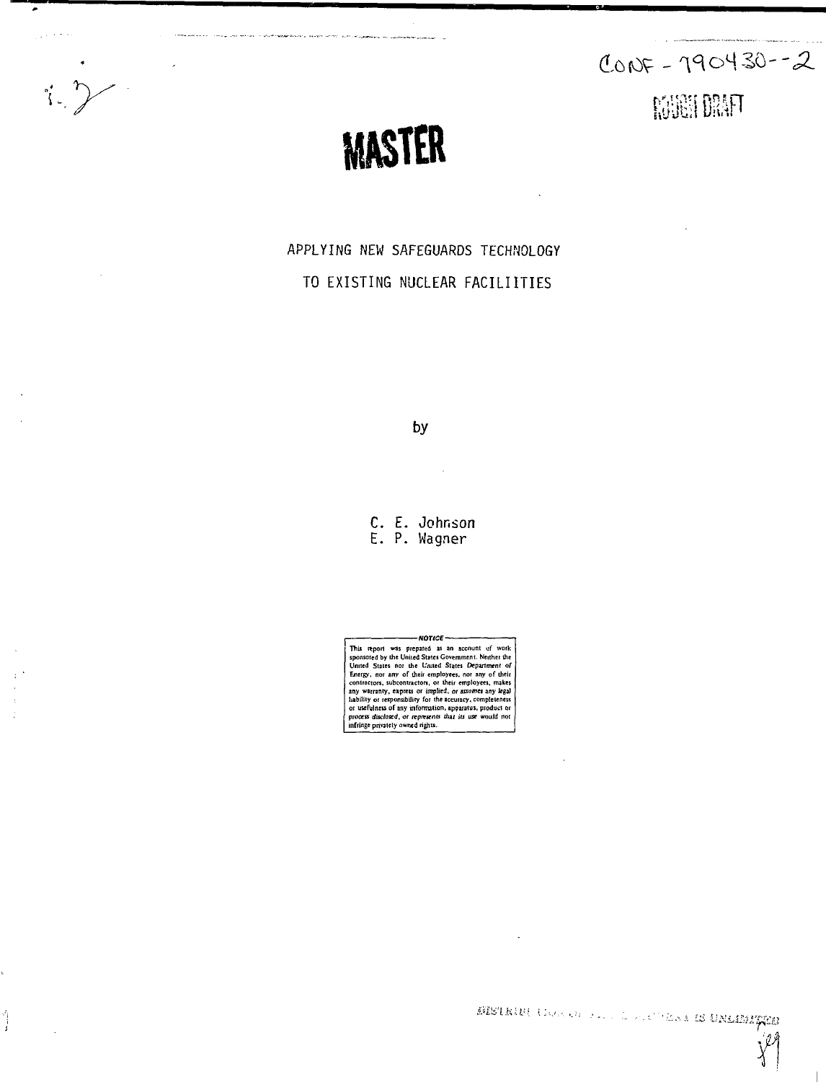$\sum_{i=1}^{n}$ 

۰

أسمعا

بدعاء زار



.<br>ويتوسطونس بالمدر الجريرة المصرصية الموسوعة الواحدات والمحافظ

APPLYING NEW SAFEGUARDS TECHNOLOGY TO EXISTING NUCLEAR FACILIITIES

by

C. E. Johnson E. P. Wagner

This report was prepared as an account of work<br>possested by the United States Covernment. Netther the<br>United States nor the Cauted States Department of United States in<br>Finergy, nor any of their employees, nor any of their

BISTRIFI CORREL FOR A STEAM IS UNLIMITED

ŷЯ Y

 $CONF - 190430 - 2$ 

**NORTH DRAFT**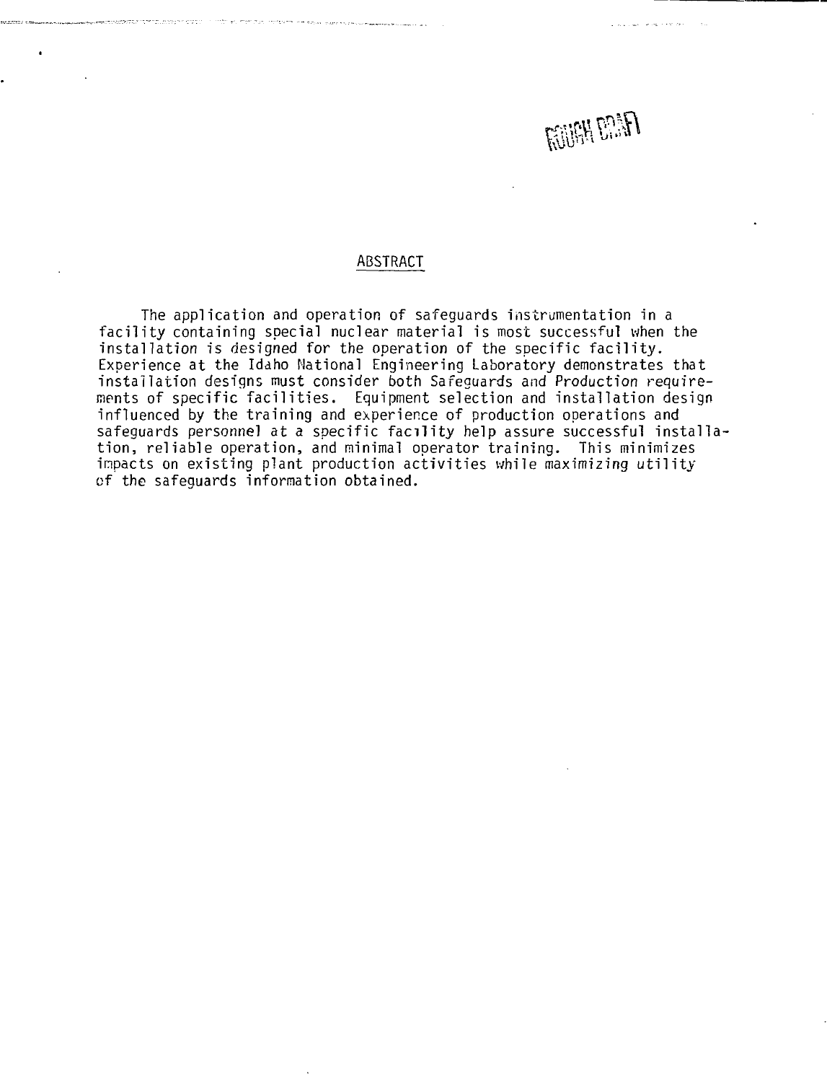

### ABSTRACT

The application and operation of safeguards instrumentation in a facility containing special nuclear material is most successful when the installation is designed for the operation of the specific facility. Experience at the Idaho National Engineering Laboratory demonstrates that installation designs must consider both Safeguards and Production requirements of specific facilities. Equipment selection and installation design influenced by the training and experience of production operations and safeguards personnel at a specific facility help assure successful installation, reliable operation, and minimal operator training. This minimizes impacts on existing plant production activities while maximizing utility of the safeguards information obtained.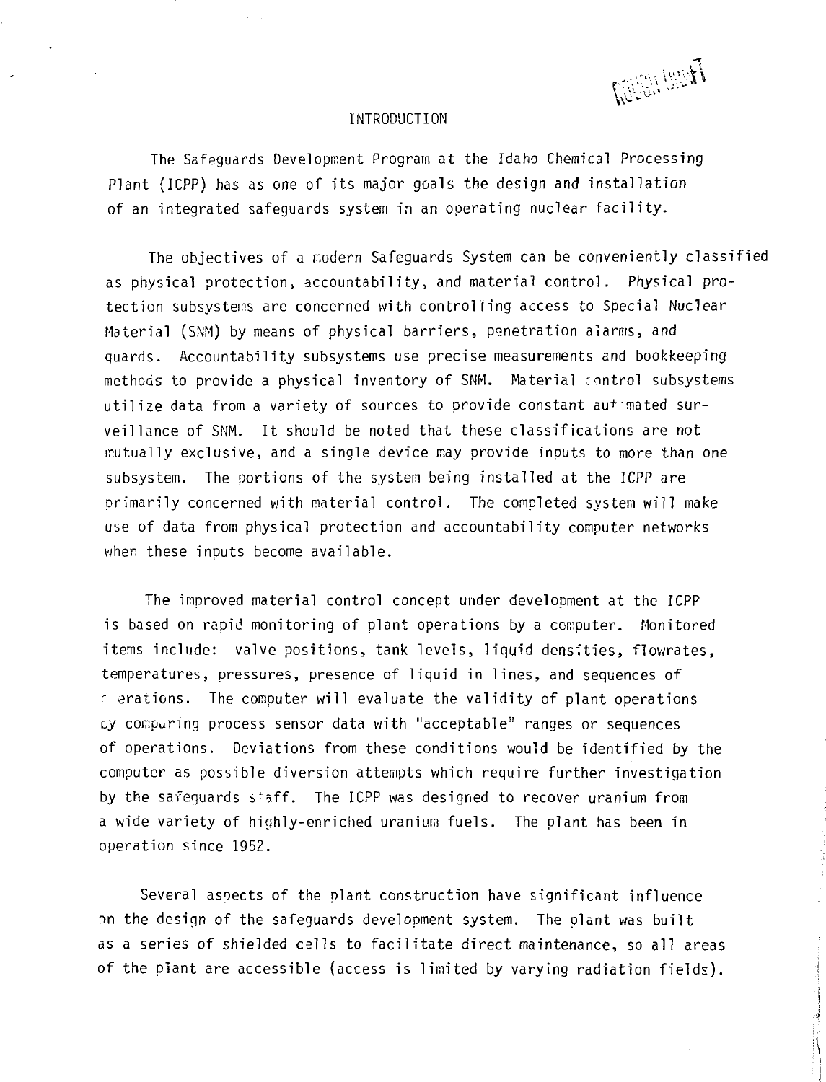The last

### INTRODUCTION

The Safeguards Development Program at the Idaho Chemical Processing Plant {ICPP) has as one of its major goals the design and installation of an integrated safeguards system in an operating nuclear facility.

The objectives of a modern Safeguards System can be conveniently classified as physical protection, accountability, and material control. Physical protection subsystems are concerned with controlling access to Special Nuclear Material (SNM) by means of physical barriers, penetration alarms, and quards. Accountability subsystems use precise measurements and bookkeeping methods to provide a physical inventory of SNM. Material control subsystems utilize data from a variety of sources to provide constant au+ mated surveillance of SNM. It should be noted that these classifications are not mutually exclusive, and a single device may provide inputs to more than one subsystem. The portions of the system being installed at the ICPP are primarily concerned with material control. The completed system will make use of data from physical protection and accountability computer networks when these inputs become available.

The improved material control concept under development at the ICPP is based on rapid monitoring of plant operations by a computer. Monitored items include: valve positions, tank levels, liquid densities, flowrates, temperatures, pressures, presence of liquid in lines, and sequences of ' erations. The computer will evaluate the validity of plant operations ty comparing process sensor data with "acceptable" ranges or sequences of operations. Deviations from these conditions would be identified by the computer as possible diversion attempts which require further investigation by the safeguards s'aff. The ICPP was designed to recover uranium from a wide variety of highly-enriched uranium fuels. The plant has been in operation since 1952.

Several aspects of the plant construction have significant influence nn the design of the safeguards development system. The plant was built as a series of shielded cells to facilitate direct maintenance, so all areas of the plant are accessible (access is limited by varying radiation fields).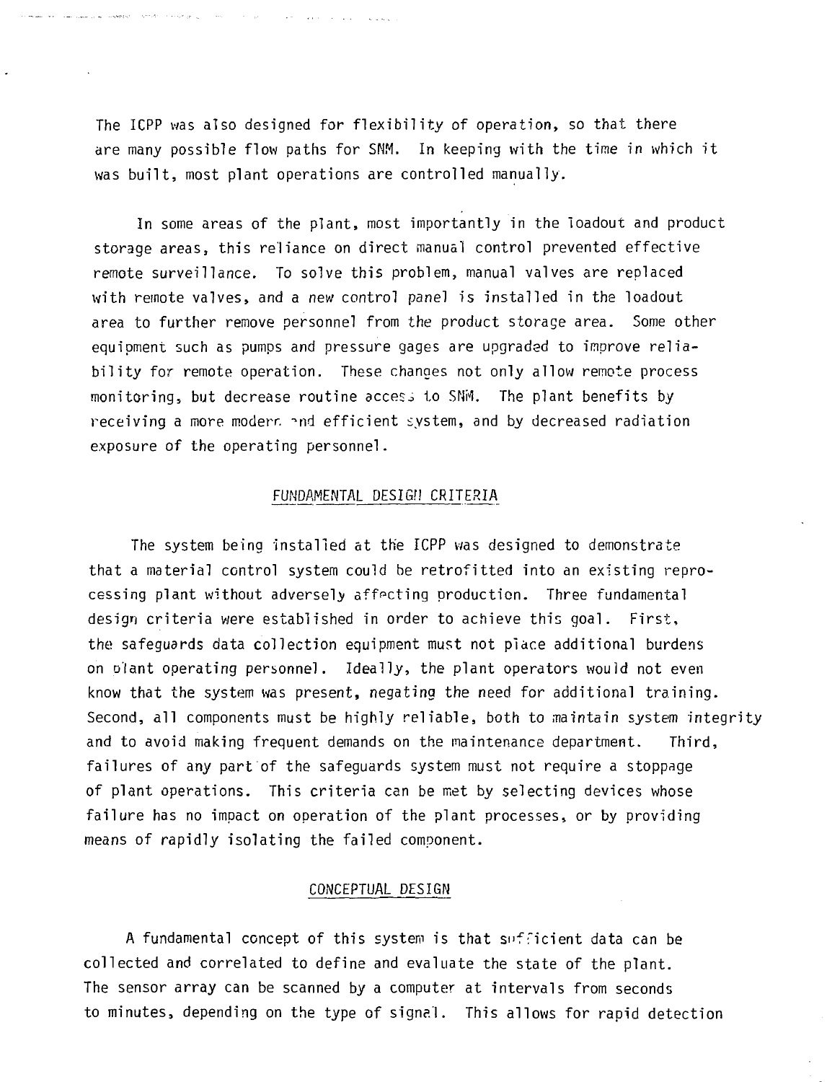The ICPP was also designed for flexibility of operation, so that there are many possible flow paths for SNM. In keeping with the time in which it was built, most plant operations are controlled manually.

a sale se con

and the company of the company

In some areas of the plant, most importantly in the loadout and product storage areas, this reliance on direct manual control prevented effective remote surveillance. To solve this problem, manual valves are replaced with remote valves, and a new control panel is installed in the loadout area to further remove personnel from the product storage area. Some other equipment such as pumps and pressure gages are upgraded to improve reliability for remote operation. These changes not only allow remote process monitoring, but decrease routine access to SNM. The plant benefits by receiving a more modern and efficient system, and by decreased radiation exposure of the operating personnel.

### FUNDAMENTAL DESIGH CRITERIA

The system being installed at the ICPP was designed to demonstrate that a material control system could be retrofitted into an existing reprocessing plant without adversely affecting production. Three fundamental design criteria were established in order to achieve this goal. First, the safeguards data collection equipment must not place additional burdens on plant operating personnel. Ideally, the plant operators would not even know that the system was present, negating the need for additional training. Second, all components must be highly reliable, both to maintain system integrity and to avoid making frequent demands on the maintenance department. Third, failures of any part of the safeguards system must not require a stoppage of plant operations. This criteria can be met by selecting devices whose failure has no impact on operation of the plant processes, or by providing means of rapidly isolating the failed component.

### CONCEPTUAL DESIGN

A fundamental concept of this system is that sufficient data can be collected and correlated to define and evaluate the state of the plant. The sensor array can be scanned by a computer at intervals from seconds to minutes, depending on the type of signal. This allows for rapid detection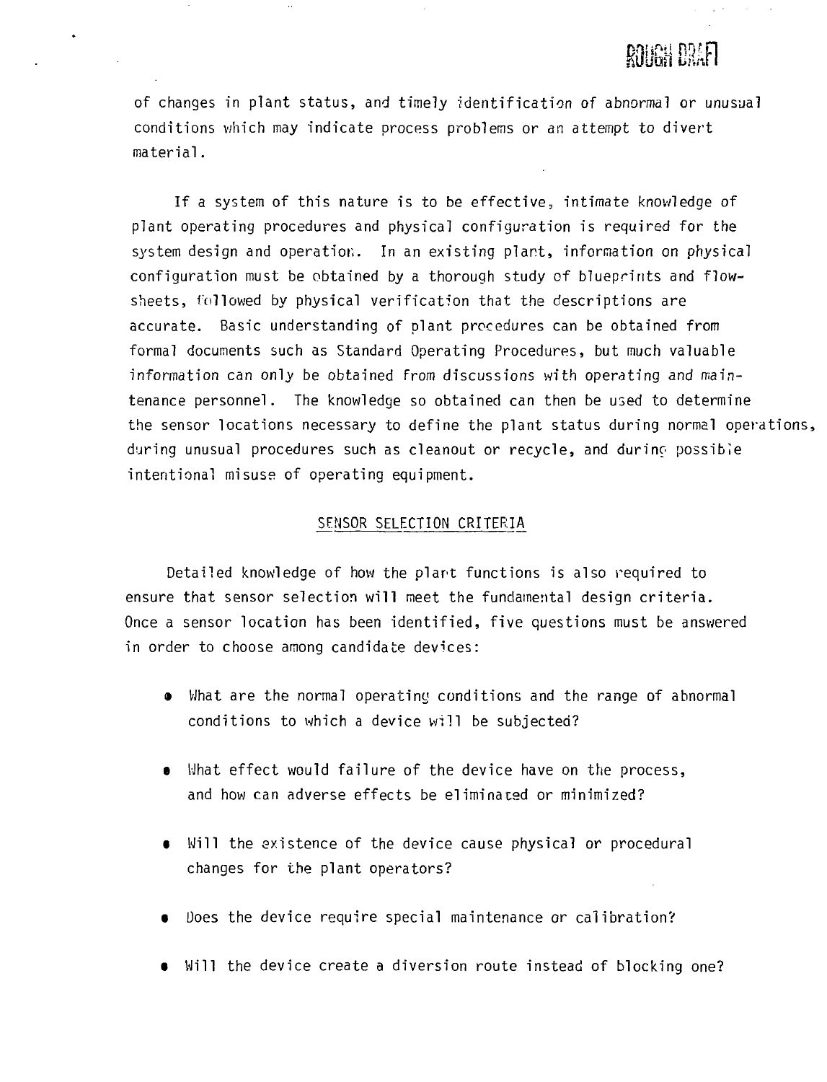# **ROUGH DRAFI**

of changes in plant status, and timely identification of abnormal or unusual conditions which may indicate process problems or an attempt to divert material.

If a system of this nature is to be effective, intimate knowledge of plant operating procedures and physical configuration is required for the system design and operation. In an existing plant, information on physical configuration must be obtained by a thorough study of blueprints and flowsheets, followed by physical verification that the descriptions are accurate. Basic understanding of plant procedures can be obtained from formal documents such as Standard Operating Procedures, but much valuable information can only be obtained from discussions with operating and maintenance personnel. The knowledge so obtained can then be used to determine the sensor locations necessary to define the plant status during normal operations, during unusual procedures such as cleanout or recycle, and durinc possible intentional misuse of operating equipment.

### SENSOR SELECTION CRITERIA

Detailed knowledge of how the plant functions is also required to ensure that sensor selection will meet the fundamental design criteria. Once a sensor location has been identified, five questions must be answered in order to choose among candidate devices:

- What are the normal operating conditions and the range of abnormal conditions to which a device will be subjected?
- What effect would failure of the device have on the process, and how can adverse effects be eliminated or minimized?
- $\bullet$  Will the existence of the device cause physical or procedural changes for the plant operators?
- Does the device require special maintenance or calibration?
- Will the device create a diversion route instead of blocking one?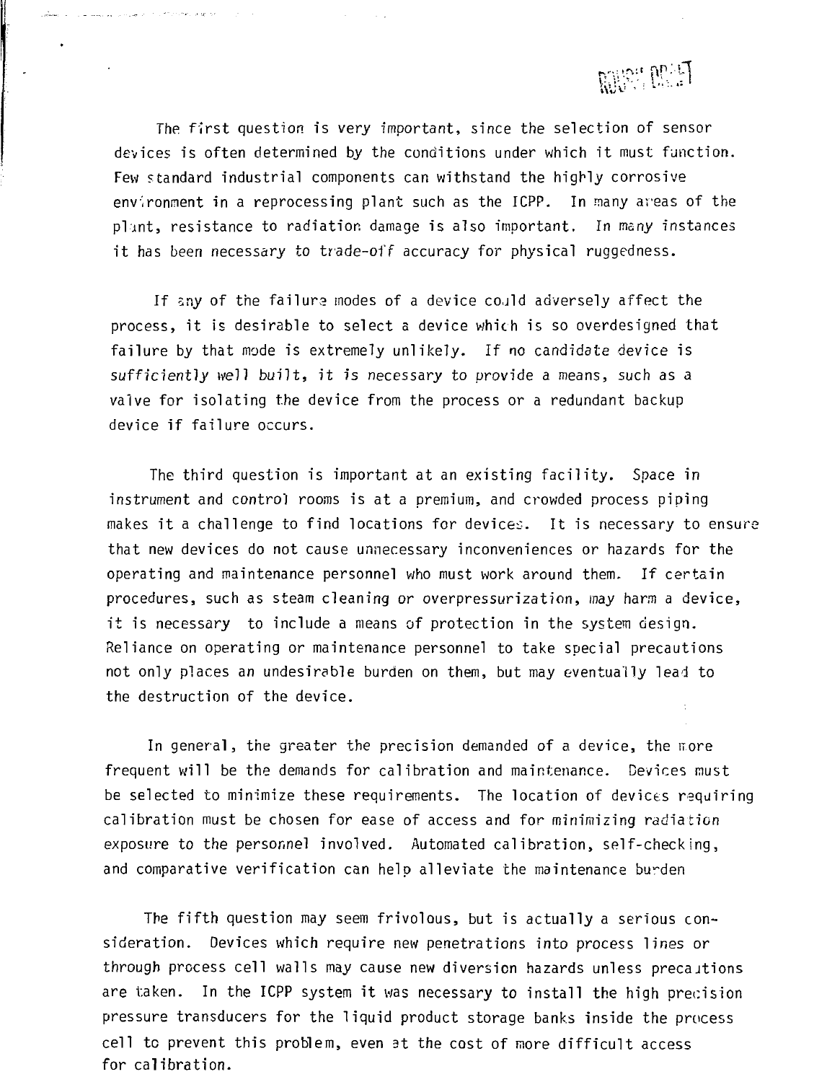

The first question is very important, since the selection of sensor devices is often determined by the conditions under which it must function. Few standard industrial components can withstand the highly corrosive environment in a reprocessing plant such as the ICPP. In many areas of the plant, resistance to radiation damage is also important. In many instances it has been necessary to trade-off accuracy for physical ruggedness.

successful and contract was associated

If sny of the failure modes of a device cojld adversely affect the process, it is desirable to select a device which is so overdesigned that failure by that mode is extremely unlikely. If no candidate device is sufficiently well built, it is necessary to provide a means, such as a valve for isolating the device from the process or a redundant backup device if failure occurs.

The third question is important at an existing facility. Space in instrument and control rooms is at a premium, and crowded process piping makes it a challenge to find locations for devices. It is necessary to ensure that new devices do not cause unnecessary inconveniences or hazards for the operating and maintenance personnel who must work around them. If certain procedures, such as steam cleaning or overpressurization, may harm a device, it is necessary to include a means of protection in the system design. Reliance on operating or maintenance personnel to take special precautions not only places an undesirable burden on them, but may eventually lead to the destruction of the device.

In general, the greater the precision demanded of a device, the more frequent will be the demands for calibration and maintenance. Devices must be selected to minimize these requirements. The location of devices requiring calibration must be chosen for ease of access and for minimizing radiation exposure to the personnel involved. Automated calibration, self-checking, and comparative verification can help alleviate the maintenance burden

The fifth question may seem frivolous, but is actually a serious consideration. Devices which require new penetrations into process lines or through process cell walls may cause new diversion hazards unless precaitions are taken. In the ICPP system it was necessary to install the high precision pressure transducers for the liquid product storage banks inside the process cell tc prevent this problem, even at the cost of more difficult access for calibration.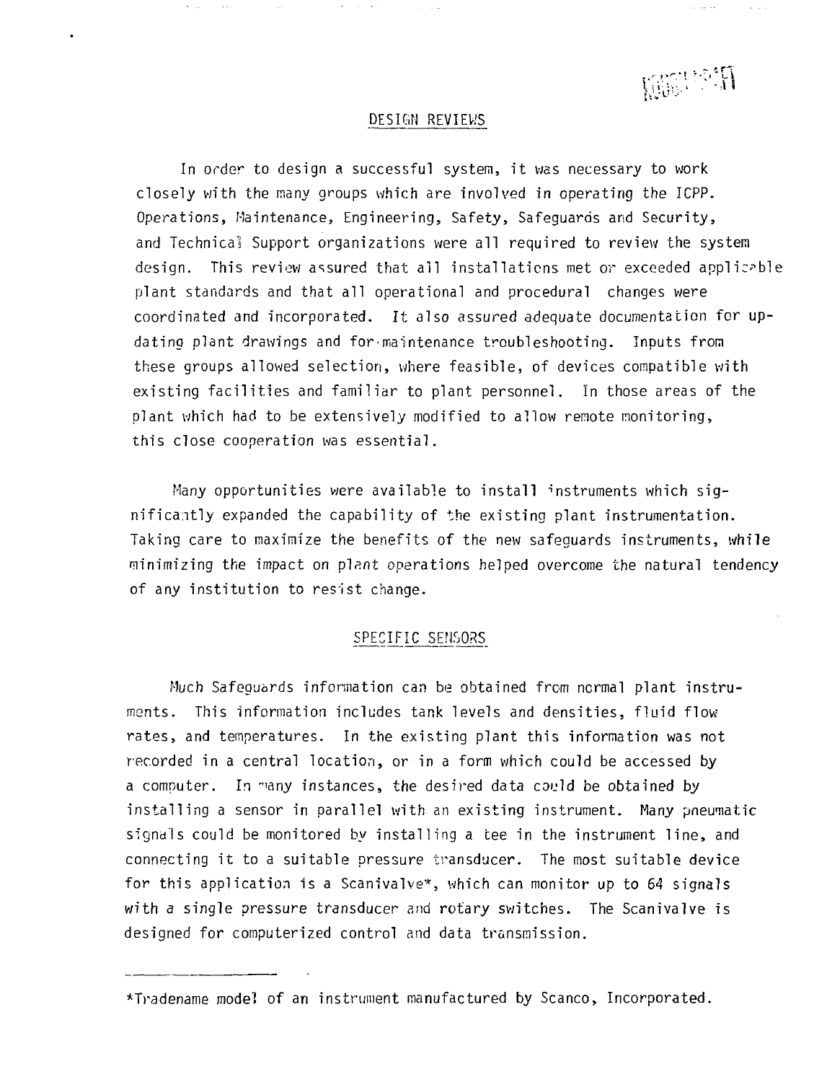**RESERVED** 

#### DESIGN REVIEWS

In order to design a successful system, it was necessary to work closely with the many groups which are involved in operating the ICPP. Operations, Maintenance, Engineering, Safety, Safeguards and Security, and Technical Support organizations were all required to review the system design. This review assured that all installations met or exceeded applicable plant standards and that all operational and procedural changes were coordinated and incorporated. It also assured adequate documentation for updating plant drawings and for•maintenance troubleshooting. Inputs from these groups allowed selection, where feasible, of devices compatible with existing facilities and familiar to plant personnel. In those areas of the plant which had to be extensively modified to allow remote monitoring, this close cooperation was essential.

Many opportunities were available to install instruments which significantly expanded the capability of the existing plant instrumentation. Taking care to maximize the benefits of the new safeguards instruments, while minimizing the impact on plant operations helped overcome the natural tendency of any institution to resist change.

## SPECIFIC SENSORS

Much Safeguards information can be obtained from normal plant instruments. This information includes tank levels and densities, fluid flow rates, and temperatures. In the existing plant this information was not recorded in a central location, or in a form which could be accessed by a computer. In "iany instances, the desired data could be obtained by installing a sensor in parallel with an existing instrument. Many pneumatic signals could be monitored by installing a tee in the instrument line, and connecting it to a suitable pressure transducer. The most suitable device for this application is a Scanivalve\*, which can monitor up to 64 signals with a single pressure transducer and rotary switches. The Scanivalve is designed for computerized control and data transmission.

<sup>\*</sup>Tradename model of an instrument manufactured by Scanco, Incorporated.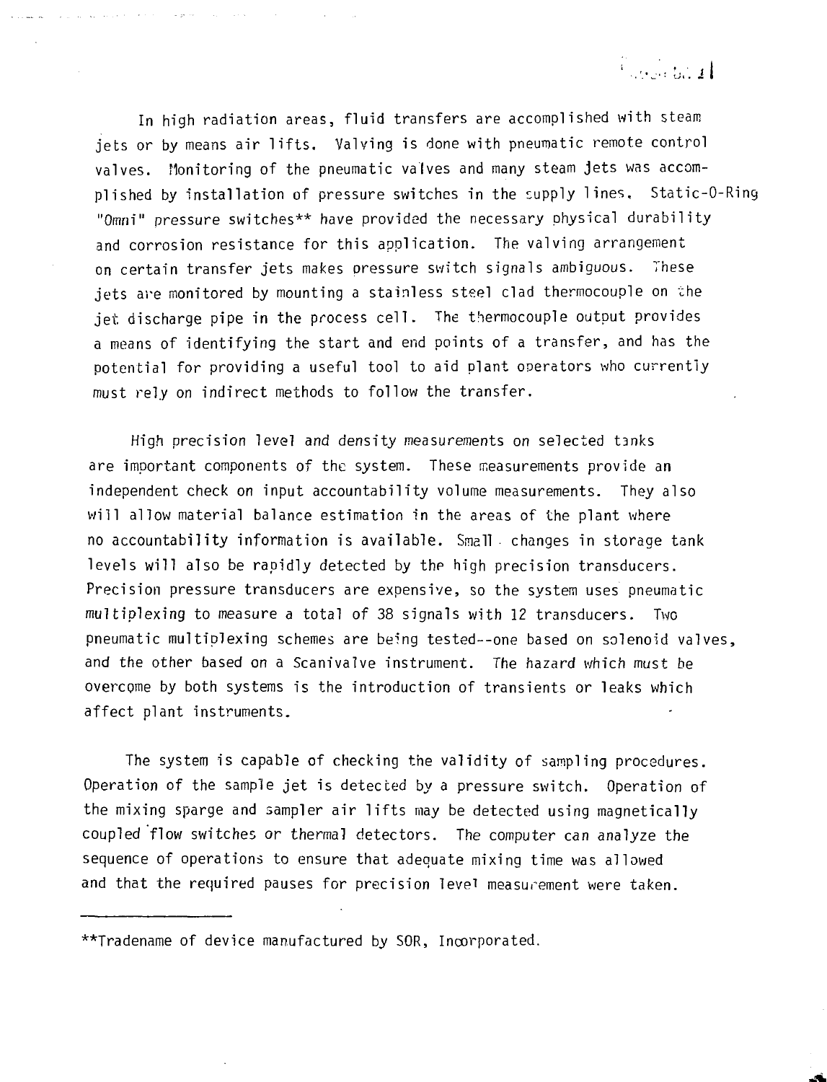The Control of

In high radiation areas, fluid transfers are accomplished with steam jets or by means air lifts. Valving is done with pneumatic remote control valves. Monitoring of the pneumatic valves and many steam jets was accomplished by installation of pressure switches in the supply lines, Static-O-Ring "Omni" pressure switches\*\* have provided the necessary physical durability and corrosion resistance for this application. The valving arrangement on certain transfer jets makes pressure switch signals ambiguous. These jets are monitored by mounting a stainless steel clad thermocouple on the jet discharge pipe in the process cell. The thermocouple output provides a means of identifying the start and end points of a transfer, and has the potential for providing a useful tool to aid plant operators who currently must rely on indirect methods to follow the transfer.

المتعويف

High precision level and density measurements on selected tanks are important components of the system. These measurements provide an independent check on input accountability volume measurements. They also will allow material balance estimation in the areas of the plant where no accountability information is available. Small changes in storage tank levels will also be rapidly detected by the high precision transducers. Precision pressure transducers are expensive, so the system uses pneumatic multiplexing to measure a total of 38 signals with 12 transducers. Two pneumatic multiplexing schemes are being tested--one based on solenoid valves, and the other based on a Scanivalve instrument. The hazard which must be overcome by both systems is the introduction of transients or leaks which affect plant instruments.

The system is capable of checking the validity of sampling procedures. Operation of the sample jet is detected by a pressure switch. Operation of the mixing sparge and sampler air lifts may be detected using magnetically coupled flow switches or thermal detectors. The computer can analyze the sequence of operations to ensure that adequate mixing time was allowed and that the required pauses for precision level measurement were taken.

\*\*Tradename of device manufactured by SOR, Incorporated.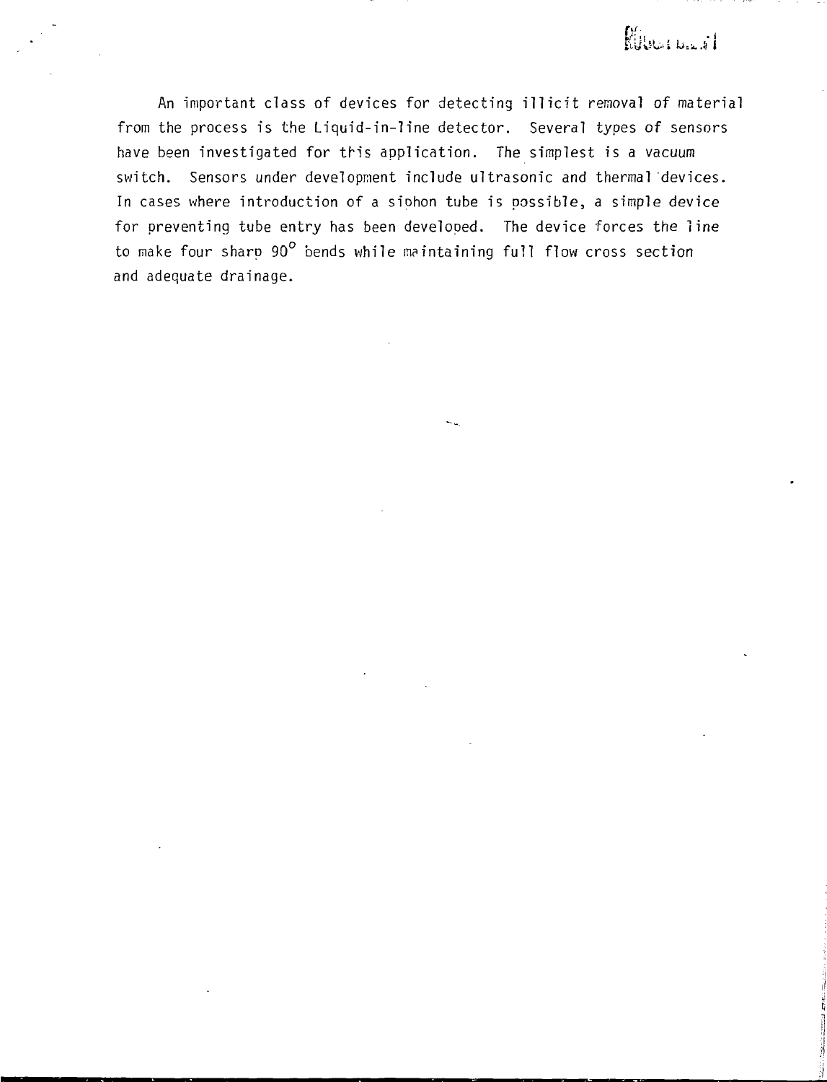An important class of devices for detecting illicit removal of material from the process is the Liquid-in-line detector. Several types of sensors have been investigated for this application. The simplest is a vacuum switch. Sensors under development include ultrasonic and thermal devices. In cases where introduction of a siohon tube is possible, a simple device for preventing tube entry has been developed. The device forces the line to make four sharp 90° bends while maintaining full flow cross section and adequate drainage.